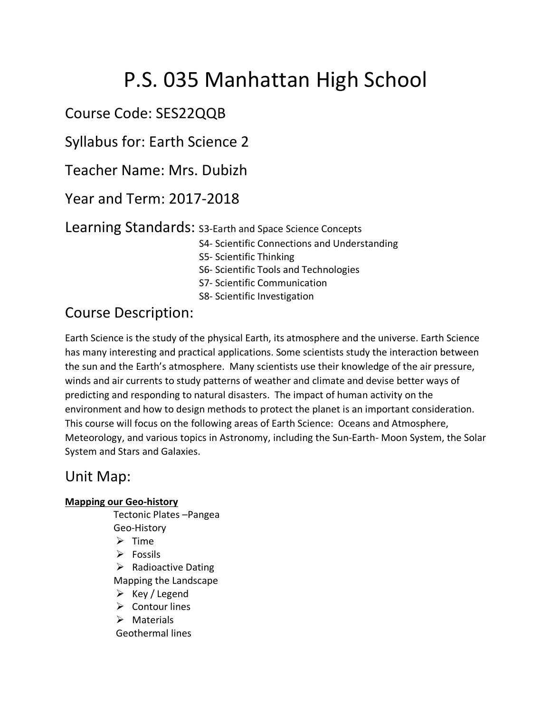# P.S. 035 Manhattan High School

Course Code: SES22QQB

Syllabus for: Earth Science 2

Teacher Name: Mrs. Dubizh

Year and Term: 2017-2018

Learning Standards: S3-Earth and Space Science Concepts

- S4- Scientific Connections and Understanding
- S5- Scientific Thinking
- S6- Scientific Tools and Technologies
- S7- Scientific Communication
- S8- Scientific Investigation

# Course Description:

Earth Science is the study of the physical Earth, its atmosphere and the universe. Earth Science has many interesting and practical applications. Some scientists study the interaction between the sun and the Earth's atmosphere. Many scientists use their knowledge of the air pressure, winds and air currents to study patterns of weather and climate and devise better ways of predicting and responding to natural disasters. The impact of human activity on the environment and how to design methods to protect the planet is an important consideration. This course will focus on the following areas of Earth Science: Oceans and Atmosphere, Meteorology, and various topics in Astronomy, including the Sun-Earth- Moon System, the Solar System and Stars and Galaxies.

### Unit Map:

#### **Mapping our Geo-history**

Tectonic Plates –Pangea Geo-History

- $\triangleright$  Time
- $\triangleright$  Fossils

 $\triangleright$  Radioactive Dating

Mapping the Landscape

- $\triangleright$  Key / Legend
- $\triangleright$  Contour lines
- $\triangleright$  Materials

Geothermal lines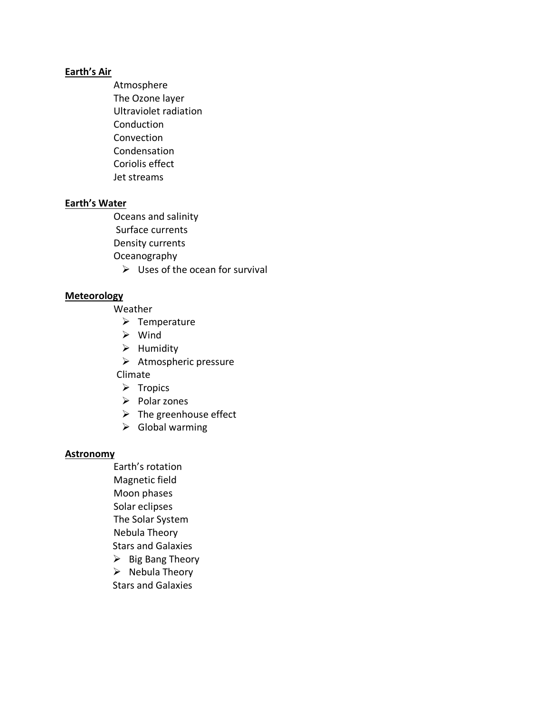#### **Earth's Air**

Atmosphere The Ozone layer Ultraviolet radiation Conduction **Convection** Condensation Coriolis effect Jet streams

#### **Earth's Water**

Oceans and salinity

Surface currents

Density currents

Oceanography

 $\triangleright$  Uses of the ocean for survival

#### **Meteorology**

Weather

- $\triangleright$  Temperature
- $\triangleright$  Wind
- $\triangleright$  Humidity
- $\triangleright$  Atmospheric pressure

Climate

- $\triangleright$  Tropics
- $\triangleright$  Polar zones
- $\triangleright$  The greenhouse effect
- $\triangleright$  Global warming

#### **Astronomy**

- Earth's rotation Magnetic field Moon phases Solar eclipses The Solar System Nebula Theory Stars and Galaxies  $\triangleright$  Big Bang Theory
- $\triangleright$  Nebula Theory
- Stars and Galaxies